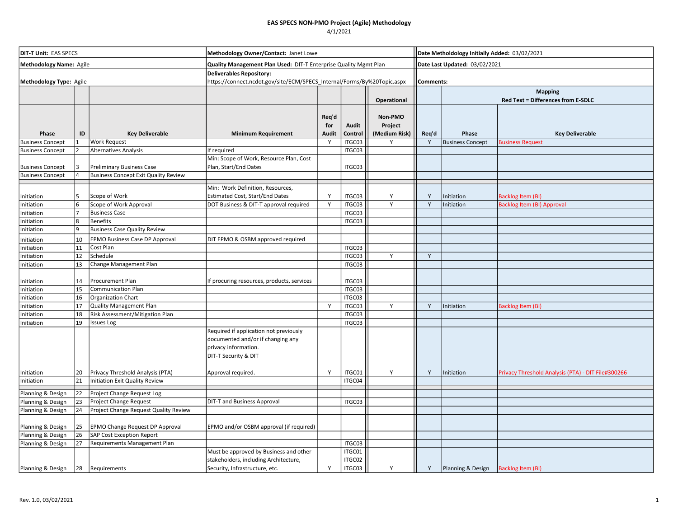| <b>DIT-T Unit: EAS SPECS</b><br>Methodology Name: Agile<br>Methodology Type: Agile |    |                                             | Methodology Owner/Contact: Janet Lowe                                                                                       |                       |                            |                                     |                               | Date Metholdology Initially Added: 03/02/2021 |                                                             |  |  |  |
|------------------------------------------------------------------------------------|----|---------------------------------------------|-----------------------------------------------------------------------------------------------------------------------------|-----------------------|----------------------------|-------------------------------------|-------------------------------|-----------------------------------------------|-------------------------------------------------------------|--|--|--|
|                                                                                    |    |                                             | Quality Management Plan Used: DIT-T Enterprise Quality Mgmt Plan                                                            |                       |                            |                                     | Date Last Updated: 03/02/2021 |                                               |                                                             |  |  |  |
|                                                                                    |    |                                             | <b>Deliverables Repository:</b><br>https://connect.ncdot.gov/site/ECM/SPECS_Internal/Forms/By%20Topic.aspx                  |                       |                            |                                     |                               | Comments:                                     |                                                             |  |  |  |
|                                                                                    |    |                                             |                                                                                                                             |                       |                            | Operational                         |                               |                                               | <b>Mapping</b><br><b>Red Text = Differences from E-SDLC</b> |  |  |  |
| Phase                                                                              | ID | <b>Key Deliverable</b>                      | <b>Minimum Requirement</b>                                                                                                  | Req'd<br>for<br>Audit | Audit<br>Control           | Non-PMO<br>Project<br>(Medium Risk) | Req'd                         | Phase                                         | <b>Key Deliverable</b>                                      |  |  |  |
| <b>Business Concept</b>                                                            |    | <b>Work Request</b>                         |                                                                                                                             | Y                     | ITGC03                     | Y                                   | Y                             | <b>Business Concept</b>                       | <b>Business Request</b>                                     |  |  |  |
| <b>Business Concept</b>                                                            |    | Alternatives Analysis                       | If required                                                                                                                 |                       | ITGC03                     |                                     |                               |                                               |                                                             |  |  |  |
| <b>Business Concept</b>                                                            |    | <b>Preliminary Business Case</b>            | Min: Scope of Work, Resource Plan, Cost<br>Plan, Start/End Dates                                                            |                       | ITGC03                     |                                     |                               |                                               |                                                             |  |  |  |
| <b>Business Concept</b>                                                            |    | <b>Business Concept Exit Quality Review</b> |                                                                                                                             |                       |                            |                                     |                               |                                               |                                                             |  |  |  |
|                                                                                    |    |                                             | Min: Work Definition, Resources,                                                                                            |                       |                            |                                     |                               |                                               |                                                             |  |  |  |
|                                                                                    |    | Scope of Work                               | Estimated Cost, Start/End Dates                                                                                             | Y                     | ITGC03                     | Υ                                   | Y                             |                                               |                                                             |  |  |  |
| Initiation<br>Initiation                                                           |    | Scope of Work Approval                      | DOT Business & DIT-T approval required                                                                                      | Y                     | ITGC03                     | Y                                   | Υ                             | Initiation<br>Initiation                      | Backlog Item (BI)<br><b>Backlog Item (BI) Approval</b>      |  |  |  |
| Initiation                                                                         |    | <b>Business Case</b>                        |                                                                                                                             |                       | ITGC03                     |                                     |                               |                                               |                                                             |  |  |  |
| Initiation                                                                         |    | <b>Benefits</b>                             |                                                                                                                             |                       | ITGC03                     |                                     |                               |                                               |                                                             |  |  |  |
| Initiation                                                                         |    | <b>Business Case Quality Review</b>         |                                                                                                                             |                       |                            |                                     |                               |                                               |                                                             |  |  |  |
| Initiation                                                                         | 10 | EPMO Business Case DP Approval              | DIT EPMO & OSBM approved required                                                                                           |                       |                            |                                     |                               |                                               |                                                             |  |  |  |
| Initiation                                                                         | 11 | Cost Plan                                   |                                                                                                                             |                       | ITGC03                     |                                     |                               |                                               |                                                             |  |  |  |
| Initiation                                                                         | 12 | Schedule                                    |                                                                                                                             |                       | ITGC03                     | Υ                                   | Υ                             |                                               |                                                             |  |  |  |
| Initiation                                                                         | 13 | Change Management Plan                      |                                                                                                                             |                       | ITGC03                     |                                     |                               |                                               |                                                             |  |  |  |
|                                                                                    |    |                                             |                                                                                                                             |                       |                            |                                     |                               |                                               |                                                             |  |  |  |
| Initiation                                                                         | 14 | Procurement Plan                            | If procuring resources, products, services                                                                                  |                       | ITGC03                     |                                     |                               |                                               |                                                             |  |  |  |
| Initiation                                                                         | 15 | <b>Communication Plan</b>                   |                                                                                                                             |                       | ITGC03                     |                                     |                               |                                               |                                                             |  |  |  |
| Initiation                                                                         | 16 | Organization Chart                          |                                                                                                                             |                       | ITGC03                     |                                     |                               |                                               |                                                             |  |  |  |
| Initiation                                                                         | 17 | Quality Management Plan                     |                                                                                                                             | Y                     | ITGC03                     | Y                                   | Y                             | Initiation                                    | Backlog Item (BI)                                           |  |  |  |
| Initiation                                                                         | 18 | Risk Assessment/Mitigation Plan             |                                                                                                                             |                       | ITGC03                     |                                     |                               |                                               |                                                             |  |  |  |
| Initiation                                                                         | 19 | <b>Issues Log</b>                           |                                                                                                                             |                       | ITGC03                     |                                     |                               |                                               |                                                             |  |  |  |
|                                                                                    |    |                                             | Required if application not previously<br>documented and/or if changing any<br>privacy information.<br>DIT-T Security & DIT |                       |                            |                                     |                               |                                               |                                                             |  |  |  |
| Initiation                                                                         | 20 | Privacy Threshold Analysis (PTA)            | Approval required.                                                                                                          | Y                     | ITGC01                     | Υ                                   | Y                             | Initiation                                    | Privacy Threshold Analysis (PTA) - DIT File#300266          |  |  |  |
| Initiation                                                                         | 21 | Initiation Exit Quality Review              |                                                                                                                             |                       | ITGC04                     |                                     |                               |                                               |                                                             |  |  |  |
| Planning & Design                                                                  | 22 | Project Change Request Log                  |                                                                                                                             |                       |                            |                                     |                               |                                               |                                                             |  |  |  |
| Planning & Design                                                                  | 23 | Project Change Request                      | <b>DIT-T and Business Approval</b>                                                                                          |                       | ITGC03                     |                                     |                               |                                               |                                                             |  |  |  |
| Planning & Design                                                                  | 24 | Project Change Request Quality Review       |                                                                                                                             |                       |                            |                                     |                               |                                               |                                                             |  |  |  |
| Planning & Design                                                                  | 25 | EPMO Change Request DP Approval             | EPMO and/or OSBM approval (if required)                                                                                     |                       |                            |                                     |                               |                                               |                                                             |  |  |  |
| Planning & Design                                                                  | 26 | <b>SAP Cost Exception Report</b>            |                                                                                                                             |                       |                            |                                     |                               |                                               |                                                             |  |  |  |
| Planning & Design                                                                  | 27 | Requirements Management Plan                |                                                                                                                             |                       | ITGC03                     |                                     |                               |                                               |                                                             |  |  |  |
| Planning & Design                                                                  | 28 | Requirements                                | Must be approved by Business and other<br>stakeholders, including Architecture,<br>Security, Infrastructure, etc.           | Y                     | ITGC01<br>ITGC02<br>ITGC03 | Y                                   | Y                             | Planning & Design                             | <b>Backlog Item (BI)</b>                                    |  |  |  |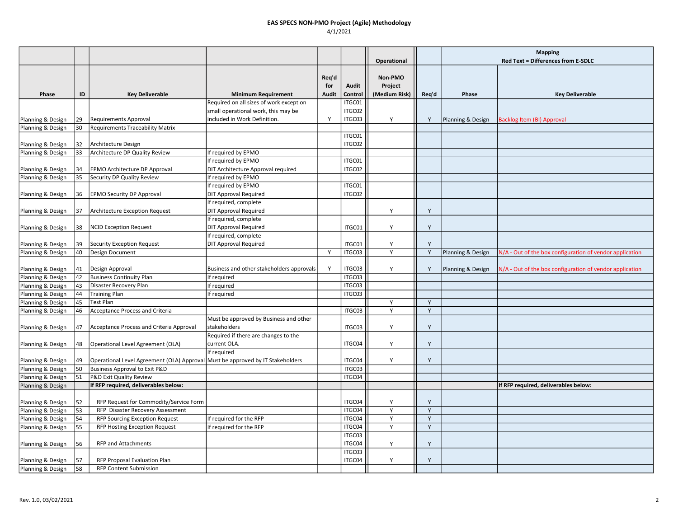|                   |    |                                                                                |                                           |              |                  |                          |       | <b>Mapping</b>    |                                                          |
|-------------------|----|--------------------------------------------------------------------------------|-------------------------------------------|--------------|------------------|--------------------------|-------|-------------------|----------------------------------------------------------|
|                   |    |                                                                                |                                           |              |                  | Operational              |       |                   | Red Text = Differences from E-SDLC                       |
|                   |    |                                                                                |                                           |              |                  |                          |       |                   |                                                          |
|                   |    |                                                                                |                                           | Req'd        |                  | Non-PMO                  |       |                   |                                                          |
| Phase             | ID | <b>Key Deliverable</b>                                                         | <b>Minimum Requirement</b>                | for<br>Audit | Audit<br>Control | Project<br>(Medium Risk) | Req'd | Phase             | <b>Key Deliverable</b>                                   |
|                   |    |                                                                                | Required on all sizes of work except on   |              | ITGC01           |                          |       |                   |                                                          |
|                   |    |                                                                                | small operational work, this may be       |              | ITGC02           |                          |       |                   |                                                          |
| Planning & Design | 29 | <b>Requirements Approval</b>                                                   | included in Work Definition.              | Y            | ITGC03           | Υ                        | Y     | Planning & Design | <b>Backlog Item (BI) Approval</b>                        |
| Planning & Design | 30 | <b>Requirements Traceability Matrix</b>                                        |                                           |              |                  |                          |       |                   |                                                          |
|                   |    |                                                                                |                                           |              | ITGC01           |                          |       |                   |                                                          |
| Planning & Design | 32 | Architecture Design                                                            |                                           |              | ITGC02           |                          |       |                   |                                                          |
| Planning & Design | 33 | Architecture DP Quality Review                                                 | If required by EPMO                       |              |                  |                          |       |                   |                                                          |
|                   |    |                                                                                | If required by EPMO                       |              | ITGC01           |                          |       |                   |                                                          |
| Planning & Design | 34 | EPMO Architecture DP Approval                                                  | DIT Architecture Approval required        |              | ITGC02           |                          |       |                   |                                                          |
| Planning & Design | 35 | Security DP Quality Review                                                     | If required by EPMO                       |              |                  |                          |       |                   |                                                          |
|                   |    |                                                                                | If required by EPMO                       |              | ITGC01           |                          |       |                   |                                                          |
| Planning & Design | 36 | <b>EPMO Security DP Approval</b>                                               | <b>DIT Approval Required</b>              |              | ITGC02           |                          |       |                   |                                                          |
|                   |    |                                                                                | If required, complete                     |              |                  |                          |       |                   |                                                          |
| Planning & Design | 37 | Architecture Exception Request                                                 | <b>DIT Approval Required</b>              |              |                  | Y                        | Y     |                   |                                                          |
|                   |    |                                                                                | If required, complete                     |              |                  |                          |       |                   |                                                          |
| Planning & Design | 38 | <b>NCID Exception Request</b>                                                  | <b>DIT Approval Required</b>              |              | ITGC01           | Υ                        | Y     |                   |                                                          |
|                   |    |                                                                                | If required, complete                     |              |                  |                          |       |                   |                                                          |
| Planning & Design | 39 | Security Exception Request                                                     | <b>DIT Approval Required</b>              |              | ITGC01           | Y                        | Y     |                   |                                                          |
| Planning & Design | 40 | Design Document                                                                |                                           | Y            | ITGC03           | Y                        | Y     | Planning & Design | N/A - Out of the box configuration of vendor application |
|                   |    |                                                                                |                                           |              |                  |                          |       |                   |                                                          |
| Planning & Design | 41 | Design Approval                                                                | Business and other stakeholders approvals | Y            | ITGC03           | Y                        | Y     | Planning & Design | N/A - Out of the box configuration of vendor application |
| Planning & Design | 42 | <b>Business Continuity Plan</b>                                                | If required                               |              | ITGC03           |                          |       |                   |                                                          |
| Planning & Design | 43 | Disaster Recovery Plan                                                         | If required                               |              | ITGC03           |                          |       |                   |                                                          |
| Planning & Design | 44 | Training Plan                                                                  | If required                               |              | ITGC03           |                          |       |                   |                                                          |
| Planning & Design | 45 | Test Plan                                                                      |                                           |              |                  | Y                        | Y     |                   |                                                          |
| Planning & Design | 46 | <b>Acceptance Process and Criteria</b>                                         |                                           |              | ITGC03           | Υ                        | Y     |                   |                                                          |
|                   |    |                                                                                | Must be approved by Business and other    |              |                  |                          |       |                   |                                                          |
| Planning & Design | 47 | Acceptance Process and Criteria Approval                                       | stakeholders                              |              | ITGC03           | Y                        | Y     |                   |                                                          |
|                   |    |                                                                                | Required if there are changes to the      |              |                  |                          |       |                   |                                                          |
| Planning & Design | 48 | Operational Level Agreement (OLA)                                              | current OLA.                              |              | ITGC04           | Y                        | Y     |                   |                                                          |
|                   |    |                                                                                | If required                               |              |                  |                          |       |                   |                                                          |
| Planning & Design | 49 | Operational Level Agreement (OLA) Approval Must be approved by IT Stakeholders |                                           |              | ITGC04           | Y                        | Y     |                   |                                                          |
| Planning & Design | 50 | Business Approval to Exit P&D                                                  |                                           |              | ITGC03           |                          |       |                   |                                                          |
| Planning & Design | 51 | P&D Exit Quality Review                                                        |                                           |              | ITGC04           |                          |       |                   |                                                          |
| Planning & Design |    | If RFP required, deliverables below:                                           |                                           |              |                  |                          |       |                   | If RFP required, deliverables below:                     |
|                   |    |                                                                                |                                           |              |                  |                          |       |                   |                                                          |
| Planning & Design | 52 | RFP Request for Commodity/Service Form                                         |                                           |              | ITGC04           | Y                        | Y     |                   |                                                          |
| Planning & Design | 53 | RFP Disaster Recovery Assessment                                               |                                           |              | ITGC04           | Y                        | Y     |                   |                                                          |
| Planning & Design | 54 | <b>RFP Sourcing Exception Request</b>                                          | If required for the RFP                   |              | ITGC04           | Y                        | Y     |                   |                                                          |
| Planning & Design | 55 | RFP Hosting Exception Request                                                  | If required for the RFP                   |              | ITGC04           | Y                        | Y     |                   |                                                          |
|                   |    |                                                                                |                                           |              | ITGC03           |                          |       |                   |                                                          |
| Planning & Design | 56 | <b>RFP and Attachments</b>                                                     |                                           |              | ITGC04           | Υ                        | Y     |                   |                                                          |
|                   |    |                                                                                |                                           |              | ITGC03           |                          |       |                   |                                                          |
| Planning & Design | 57 | RFP Proposal Evaluation Plan                                                   |                                           |              | ITGC04           | Y                        | Y     |                   |                                                          |
| Planning & Design | 58 | <b>RFP Content Submission</b>                                                  |                                           |              |                  |                          |       |                   |                                                          |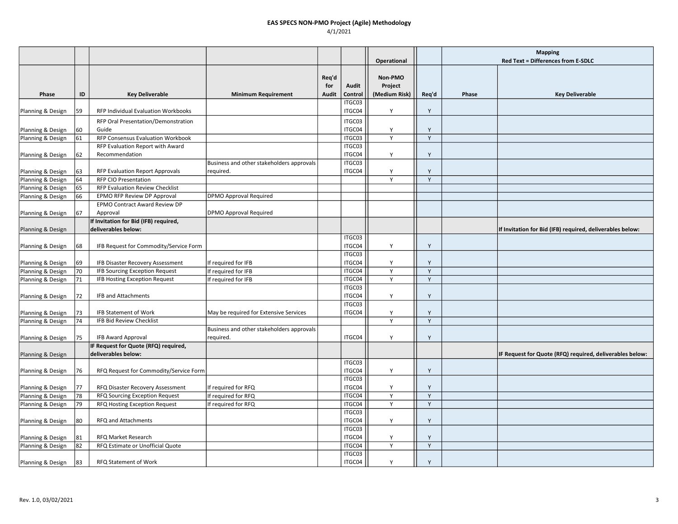|                   |    |                                        |                                           |              |                  |                                     |              | <b>Mapping</b> |                                                           |
|-------------------|----|----------------------------------------|-------------------------------------------|--------------|------------------|-------------------------------------|--------------|----------------|-----------------------------------------------------------|
|                   |    |                                        |                                           |              |                  | Operational                         |              |                | Red Text = Differences from E-SDLC                        |
|                   |    | <b>Key Deliverable</b>                 |                                           | Req'd<br>for | Audit<br>Control | Non-PMO<br>Project<br>(Medium Risk) |              | Phase          | <b>Key Deliverable</b>                                    |
| Phase             | ID |                                        | <b>Minimum Requirement</b>                | Audit        | ITGC03           |                                     | Req'd        |                |                                                           |
| Planning & Design | 59 | RFP Individual Evaluation Workbooks    |                                           |              | ITGC04           | Y                                   | Y            |                |                                                           |
|                   |    | RFP Oral Presentation/Demonstration    |                                           |              | ITGC03           |                                     |              |                |                                                           |
| Planning & Design | 60 | Guide                                  |                                           |              | ITGC04           | Υ                                   | Y            |                |                                                           |
| Planning & Design | 61 | RFP Consensus Evaluation Workbook      |                                           |              | ITGC03           | Y                                   | Y            |                |                                                           |
|                   |    | RFP Evaluation Report with Award       |                                           |              | ITGC03           |                                     |              |                |                                                           |
| Planning & Design | 62 | Recommendation                         |                                           |              | ITGC04           | Y                                   | Y            |                |                                                           |
|                   |    |                                        | Business and other stakeholders approvals |              | ITGC03           |                                     |              |                |                                                           |
| Planning & Design | 63 | <b>RFP Evaluation Report Approvals</b> | reguired.                                 |              | ITGC04           | Y                                   | Y            |                |                                                           |
| Planning & Design | 64 | <b>RFP CIO Presentation</b>            |                                           |              |                  | Y                                   | Y            |                |                                                           |
| Planning & Design | 65 | RFP Evaluation Review Checklist        |                                           |              |                  |                                     |              |                |                                                           |
| Planning & Design | 66 | EPMO RFP Review DP Approval            | DPMO Approval Required                    |              |                  |                                     |              |                |                                                           |
|                   |    | EPMO Contract Award Review DP          |                                           |              |                  |                                     |              |                |                                                           |
| Planning & Design | 67 | Approval                               | <b>DPMO Approval Required</b>             |              |                  |                                     |              |                |                                                           |
|                   |    | If Invitation for Bid (IFB) required,  |                                           |              |                  |                                     |              |                |                                                           |
| Planning & Design |    | deliverables below:                    |                                           |              |                  |                                     |              |                | If Invitation for Bid (IFB) required, deliverables below: |
|                   |    |                                        |                                           |              | ITGC03           |                                     |              |                |                                                           |
| Planning & Design | 68 | IFB Request for Commodity/Service Form |                                           |              | ITGC04           | Υ                                   | Y            |                |                                                           |
|                   |    |                                        |                                           |              | ITGC03           |                                     |              |                |                                                           |
| Planning & Design | 69 | IFB Disaster Recovery Assessment       | If required for IFB                       |              | ITGC04           | Y                                   | Y            |                |                                                           |
| Planning & Design | 70 | IFB Sourcing Exception Request         | If required for IFB                       |              | ITGC04           | Y                                   | Y            |                |                                                           |
| Planning & Design | 71 | IFB Hosting Exception Request          | If required for IFB                       |              | ITGC04           | Υ                                   | Y            |                |                                                           |
|                   |    | <b>IFB and Attachments</b>             |                                           |              | ITGC03<br>ITGC04 |                                     |              |                |                                                           |
| Planning & Design | 72 |                                        |                                           |              | ITGC03           | Υ                                   | Y            |                |                                                           |
| Planning & Design | 73 | <b>IFB Statement of Work</b>           | May be required for Extensive Services    |              | ITGC04           | Υ                                   | Y            |                |                                                           |
| Planning & Design | 74 | IFB Bid Review Checklist               |                                           |              |                  | Y                                   | $\mathsf{Y}$ |                |                                                           |
|                   |    |                                        | Business and other stakeholders approvals |              |                  |                                     |              |                |                                                           |
| Planning & Design | 75 | <b>IFB Award Approval</b>              | required.                                 |              | ITGC04           | Y                                   | Y            |                |                                                           |
|                   |    | IF Request for Quote (RFQ) required,   |                                           |              |                  |                                     |              |                |                                                           |
| Planning & Design |    | deliverables below:                    |                                           |              |                  |                                     |              |                | IF Request for Quote (RFQ) required, deliverables below:  |
|                   |    |                                        |                                           |              | ITGC03           |                                     |              |                |                                                           |
| Planning & Design | 76 | RFQ Request for Commodity/Service Form |                                           |              | ITGC04           | Y                                   | Y            |                |                                                           |
|                   |    |                                        |                                           |              | ITGC03           |                                     |              |                |                                                           |
| Planning & Design | 77 | RFQ Disaster Recovery Assessment       | If required for RFQ                       |              | ITGC04           | Y                                   | Y            |                |                                                           |
| Planning & Design | 78 | RFQ Sourcing Exception Request         | If required for RFQ                       |              | ITGC04           | Y                                   | Y            |                |                                                           |
| Planning & Design | 79 | RFQ Hosting Exception Request          | If required for RFQ                       |              | ITGC04           | Y                                   | $\mathsf Y$  |                |                                                           |
|                   |    |                                        |                                           |              | ITGC03           |                                     |              |                |                                                           |
| Planning & Design | 80 | RFQ and Attachments                    |                                           |              | ITGC04           | Y                                   | Y            |                |                                                           |
|                   |    |                                        |                                           |              | ITGC03           |                                     |              |                |                                                           |
| Planning & Design | 81 | RFQ Market Research                    |                                           |              | ITGC04           | Y                                   | Y            |                |                                                           |
| Planning & Design | 82 | RFQ Estimate or Unofficial Quote       |                                           |              | ITGC04           | Υ                                   | Y            |                |                                                           |
|                   |    |                                        |                                           |              | ITGC03           |                                     |              |                |                                                           |
| Planning & Design | 83 | RFQ Statement of Work                  |                                           |              | ITGC04           | Y                                   | Y            |                |                                                           |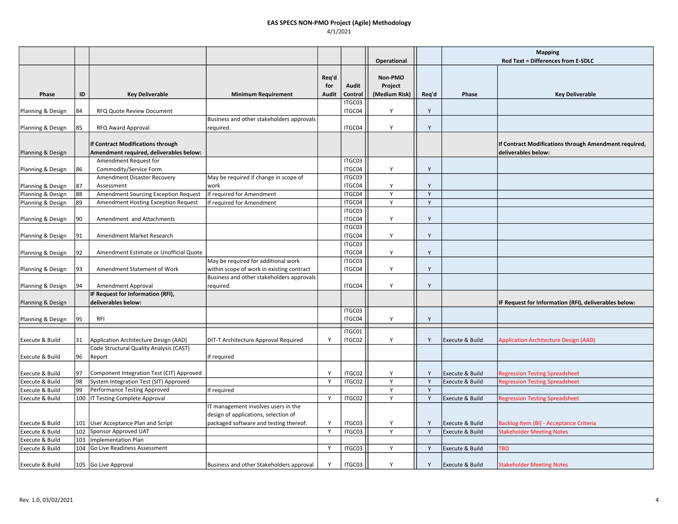|                   |     |                                           |                                           |              |         |                          |       | <b>Mapping</b>             |                                                       |
|-------------------|-----|-------------------------------------------|-------------------------------------------|--------------|---------|--------------------------|-------|----------------------------|-------------------------------------------------------|
|                   |     |                                           |                                           |              |         | Operational              |       |                            | <b>Red Text = Differences from E-SDLC</b>             |
|                   |     |                                           |                                           |              |         | Non-PMO                  |       |                            |                                                       |
|                   |     |                                           |                                           | Req'd        | Audit   |                          |       |                            |                                                       |
| Phase             | ID  | <b>Key Deliverable</b>                    | <b>Minimum Requirement</b>                | for<br>Audit | Control | Project<br>(Medium Risk) | Req'd | Phase                      | <b>Key Deliverable</b>                                |
|                   |     |                                           |                                           |              | ITGC03  |                          |       |                            |                                                       |
| Planning & Design | 84  | RFQ Quote Review Document                 |                                           |              | ITGC04  | Y                        | Υ     |                            |                                                       |
|                   |     |                                           | Business and other stakeholders approvals |              |         |                          |       |                            |                                                       |
| Planning & Design | 85  | RFQ Award Approval                        | required.                                 |              | ITGC04  | Y                        | Y     |                            |                                                       |
|                   |     |                                           |                                           |              |         |                          |       |                            |                                                       |
|                   |     | If Contract Modifications through         |                                           |              |         |                          |       |                            | If Contract Modifications through Amendment required, |
| Planning & Design |     | Amendment required, deliverables below:   |                                           |              |         |                          |       |                            | deliverables below:                                   |
|                   |     | Amendment Request for                     |                                           |              | ITGC03  |                          |       |                            |                                                       |
| Planning & Design | 86  | Commodity/Service Form                    |                                           |              | ITGC04  | Y                        | Y     |                            |                                                       |
|                   |     | Amendment Disaster Recovery               | May be required if change in scope of     |              | ITGC03  |                          |       |                            |                                                       |
| Planning & Design | 87  | Assessment                                | work                                      |              | ITGC04  | Y                        | Y     |                            |                                                       |
| Planning & Design | 88  | Amendment Sourcing Exception Request      | If required for Amendment                 |              | ITGC04  | Y                        | Y     |                            |                                                       |
| Planning & Design | 89  | Amendment Hosting Exception Request       | If required for Amendment                 |              | ITGC04  | Y                        | Y     |                            |                                                       |
|                   |     |                                           |                                           |              | ITGC03  |                          |       |                            |                                                       |
| Planning & Design | 90  | Amendment and Attachments                 |                                           |              | ITGC04  | Y                        | Y     |                            |                                                       |
|                   |     |                                           |                                           |              | ITGC03  |                          |       |                            |                                                       |
| Planning & Design | 91  | Amendment Market Research                 |                                           |              | ITGC04  | Y                        | Y     |                            |                                                       |
|                   |     |                                           |                                           |              | ITGC03  |                          |       |                            |                                                       |
| Planning & Design | 92  | Amendment Estimate or Unofficial Quote    |                                           |              | ITGC04  | Y                        | Y     |                            |                                                       |
|                   |     |                                           | May be required for additional work       |              | ITGC03  |                          |       |                            |                                                       |
| Planning & Design | 93  | Amendment Statement of Work               | within scope of work in existing contract |              | ITGC04  | Υ                        | Y     |                            |                                                       |
|                   |     |                                           | Business and other stakeholders approvals |              |         |                          |       |                            |                                                       |
| Planning & Design | 94  | Amendment Approval                        | required.                                 |              | ITGC04  | Y                        | Y     |                            |                                                       |
|                   |     | IF Request for Information (RFI),         |                                           |              |         |                          |       |                            |                                                       |
| Planning & Design |     | deliverables below:                       |                                           |              |         |                          |       |                            | IF Request for Information (RFI), deliverables below: |
|                   |     |                                           |                                           |              | ITGC03  |                          |       |                            |                                                       |
| Planning & Design | 95  | RFI                                       |                                           |              | ITGC04  | Y                        | Y     |                            |                                                       |
|                   |     |                                           |                                           |              | ITGC01  |                          |       |                            |                                                       |
| Execute & Build   | 31  | Application Architecture Design (AAD)     | DIT-T Architecture Approval Required      | Y            | ITGC02  | Y                        | Y     | Execute & Build            | <b>Application Architecture Design (AAD)</b>          |
|                   |     | Code Structural Quality Analysis (CAST)   |                                           |              |         |                          |       |                            |                                                       |
| Execute & Build   | 96  | Report                                    | If required                               |              |         |                          |       |                            |                                                       |
|                   |     |                                           |                                           |              |         |                          |       |                            |                                                       |
| Execute & Build   | 97  | Component Integration Test (CIT) Approved |                                           | <sup>V</sup> | ITGC02  | Y                        | Y     | Execute & Build            | <b>Regression Testing Spreadsheet</b>                 |
| Execute & Build   | 98  | System Integration Test (SIT) Approved    |                                           | Y            | ITGC02  | Y                        | Y     | Execute & Build            | <b>Regression Testing Spreadsheet</b>                 |
| Execute & Build   | 99  | Performance Testing Approved              | If required                               |              |         | Y                        | Y     |                            |                                                       |
| Execute & Build   |     | 100   IT Testing Complete Approval        |                                           | Y            | ITGC02  | Y                        | Y     | Execute & Build            | <b>Regression Testing Spreadsheet</b>                 |
|                   |     |                                           | IT management involves users in the       |              |         |                          |       |                            |                                                       |
|                   |     |                                           | design of applications, selection of      |              |         |                          |       |                            |                                                       |
| Execute & Build   |     | 101   User Acceptance Plan and Script     | packaged software and testing thereof.    | Y            | ITGC03  | Y                        | Y     | Execute & Build            | Backlog Item (BI) - Acceptance Criteria               |
| Execute & Build   | 102 | Sponsor Approved UAT                      |                                           | Y            | ITGC03  | Y                        | Y     | Execute & Build            | <b>Stakeholder Meeting Notes</b>                      |
| Execute & Build   | 103 | <b>Implementation Plan</b>                |                                           |              |         |                          |       |                            |                                                       |
| Execute & Build   | 104 | Go Live Readiness Assessment              |                                           | Y            | ITGC03  | Y                        | Y     | Execute & Build            | <b>TBD</b>                                            |
|                   |     |                                           |                                           |              |         |                          |       |                            |                                                       |
| Execute & Build   |     | 105 Go Live Approval                      | Business and other Stakeholders approval  | Y            | ITGC03  | Y                        | Y     | <b>Execute &amp; Build</b> | <b>Stakeholder Meeting Notes</b>                      |